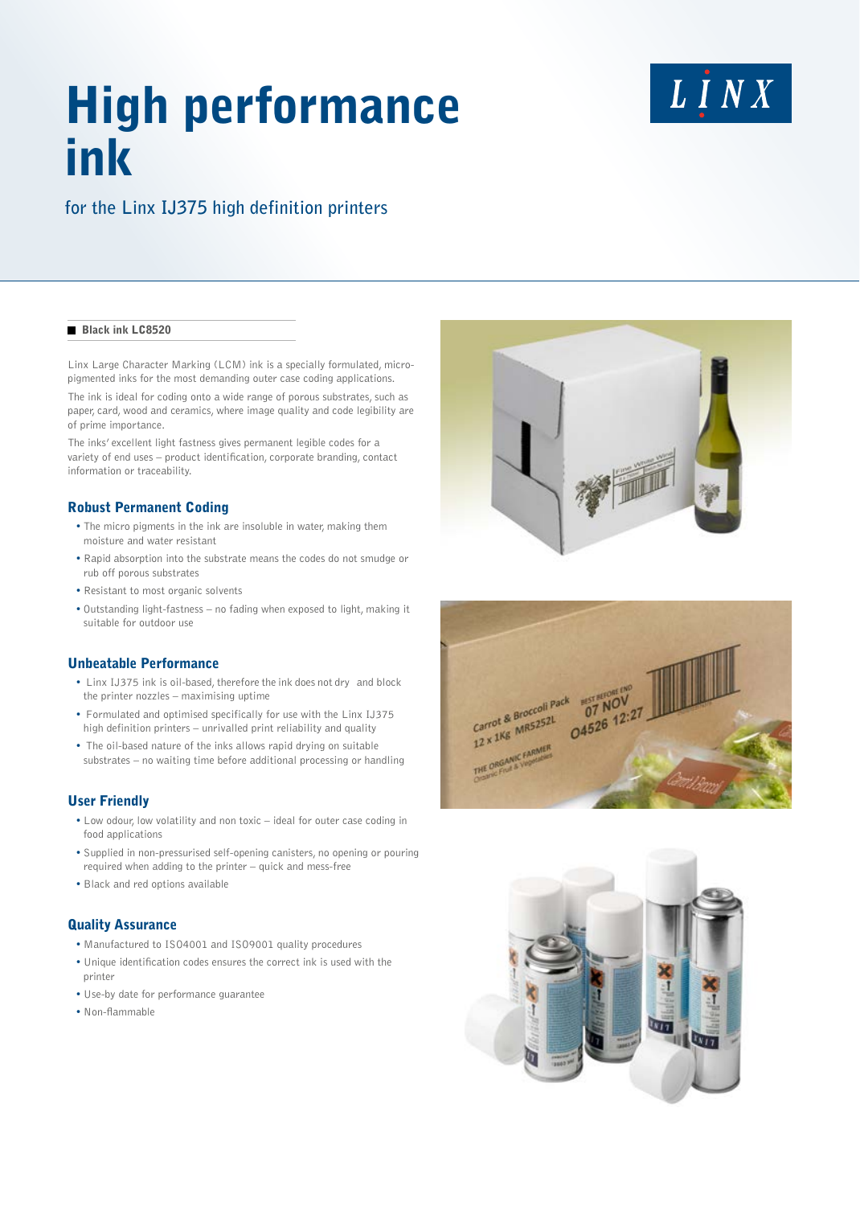# High performance ink

## LINX

### **for the Linx IJ375 high definition printers**

#### **Black ink LC8520**

Linx Large Character Marking (LCM) ink is a specially formulated, micropigmented inks for the most demanding outer case coding applications.

The ink is ideal for coding onto a wide range of porous substrates, such as paper, card, wood and ceramics, where image quality and code legibility are of prime importance.

The inks' excellent light fastness gives permanent legible codes for a variety of end uses – product identification, corporate branding, contact information or traceability.

#### Robust Permanent Coding

- The micro pigments in the ink are insoluble in water, making them moisture and water resistant
- Rapid absorption into the substrate means the codes do not smudge or rub off porous substrates
- Resistant to most organic solvents
- Outstanding light-fastness no fading when exposed to light, making it suitable for outdoor use

#### Unbeatable Performance

- Linx IJ375 ink is oil-based, therefore the ink does not dry and block the printer nozzles – maximising uptime
- Formulated and optimised specifically for use with the Linx IJ375 high definition printers – unrivalled print reliability and quality
- The oil-based nature of the inks allows rapid drying on suitable substrates – no waiting time before additional processing or handling

#### User Friendly

- Low odour, low volatility and non toxic ideal for outer case coding in food applications
- Supplied in non-pressurised self-opening canisters, no opening or pouring required when adding to the printer – quick and mess-free
- Black and red options available

#### Quality Assurance

- Manufactured to ISO4001 and ISO9001 quality procedures
- Unique identification codes ensures the correct ink is used with the printer
- Use-by date for performance guarantee
- Non-flammable